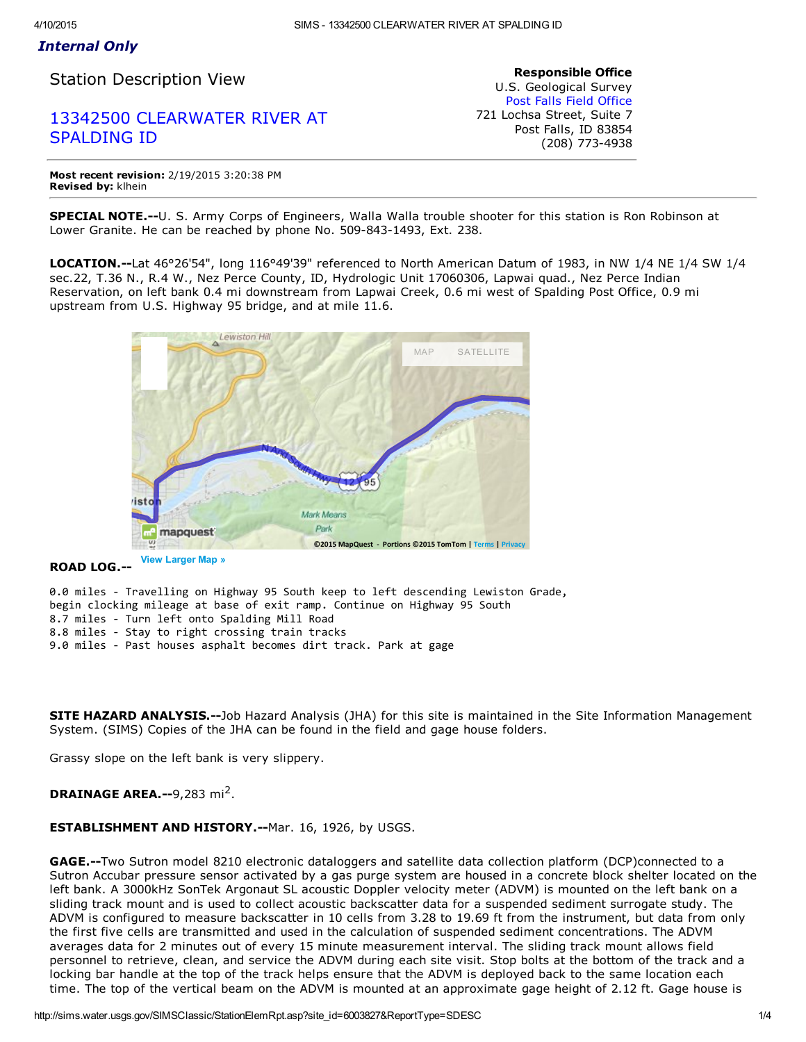## *Internal Only*

Station Description View

# 13342500 [CLEARWATER](http://sims.water.usgs.gov/SIMSClassic/StationInfo.asp?site_id=6003827) RIVER AT SPALDING ID

Responsible Office U.S. Geological Survey Post Falls Field [Office](http://sims.water.usgs.gov/SIMSClassic/StationsRpts.asp?office_id=624&district_cd=16) 721 Lochsa Street, Suite 7 Post Falls, ID 83854 (208) 773-4938

Most recent revision: 2/19/2015 3:20:38 PM Revised by: klhein

SPECIAL NOTE.--U. S. Army Corps of Engineers, Walla Walla trouble shooter for this station is Ron Robinson at Lower Granite. He can be reached by phone No. 509-843-1493, Ext. 238.

LOCATION.--Lat 46°26'54", long 116°49'39" referenced to North American Datum of 1983, in NW 1/4 NE 1/4 SW 1/4 sec.22, T.36 N., R.4 W., Nez Perce County, ID, Hydrologic Unit 17060306, Lapwai quad., Nez Perce Indian Reservation, on left bank 0.4 mi downstream from Lapwai Creek, 0.6 mi west of Spalding Post Office, 0.9 mi upstream from U.S. Highway 95 bridge, and at mile 11.6.



## ROAD LOG.

0.0 miles ‐ Travelling on Highway 95 South keep to left descending Lewiston Grade, begin clocking mileage at base of exit ramp. Continue on Highway 95 South 8.7 miles ‐ Turn left onto Spalding Mill Road 8.8 miles ‐ Stay to right crossing train tracks 9.0 miles ‐ Past houses asphalt becomes dirt track. Park at gage

SITE HAZARD ANALYSIS.--Job Hazard Analysis (JHA) for this site is maintained in the Site Information Management System. (SIMS) Copies of the JHA can be found in the field and gage house folders.

Grassy slope on the left bank is very slippery.

## DRAINAGE AREA.--9,283 mi<sup>2</sup>.

## ESTABLISHMENT AND HISTORY.--Mar. 16, 1926, by USGS.

GAGE.--Two Sutron model 8210 electronic dataloggers and satellite data collection platform (DCP)connected to a Sutron Accubar pressure sensor activated by a gas purge system are housed in a concrete block shelter located on the left bank. A 3000kHz SonTek Argonaut SL acoustic Doppler velocity meter (ADVM) is mounted on the left bank on a sliding track mount and is used to collect acoustic backscatter data for a suspended sediment surrogate study. The ADVM is configured to measure backscatter in 10 cells from 3.28 to 19.69 ft from the instrument, but data from only the first five cells are transmitted and used in the calculation of suspended sediment concentrations. The ADVM averages data for 2 minutes out of every 15 minute measurement interval. The sliding track mount allows field personnel to retrieve, clean, and service the ADVM during each site visit. Stop bolts at the bottom of the track and a locking bar handle at the top of the track helps ensure that the ADVM is deployed back to the same location each time. The top of the vertical beam on the ADVM is mounted at an approximate gage height of 2.12 ft. Gage house is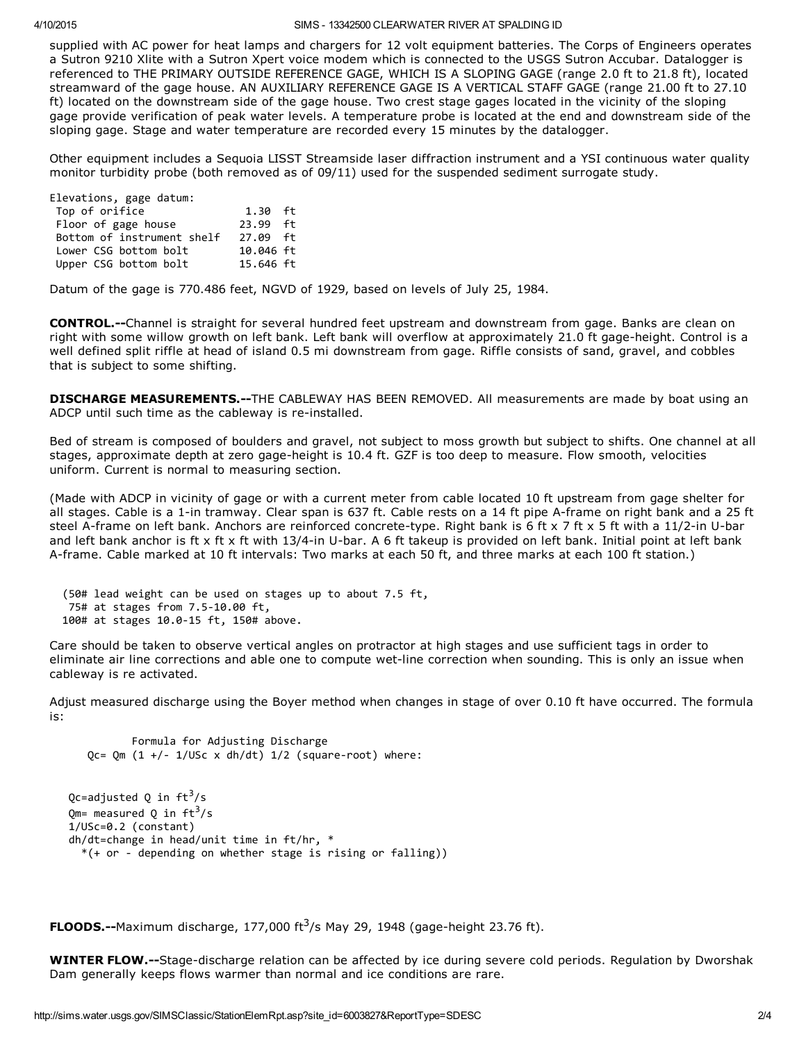#### 4/10/2015 SIMS 13342500 CLEARWATER RIVER AT SPALDING ID

supplied with AC power for heat lamps and chargers for 12 volt equipment batteries. The Corps of Engineers operates a Sutron 9210 Xlite with a Sutron Xpert voice modem which is connected to the USGS Sutron Accubar. Datalogger is referenced to THE PRIMARY OUTSIDE REFERENCE GAGE, WHICH IS A SLOPING GAGE (range 2.0 ft to 21.8 ft), located streamward of the gage house. AN AUXILIARY REFERENCE GAGE IS A VERTICAL STAFF GAGE (range 21.00 ft to 27.10 ft) located on the downstream side of the gage house. Two crest stage gages located in the vicinity of the sloping gage provide verification of peak water levels. A temperature probe is located at the end and downstream side of the sloping gage. Stage and water temperature are recorded every 15 minutes by the datalogger.

Other equipment includes a Sequoia LISST Streamside laser diffraction instrument and a YSI continuous water quality monitor turbidity probe (both removed as of 09/11) used for the suspended sediment surrogate study.

| Elevations, gage datum:    |            |
|----------------------------|------------|
| Top of orifice             | $1.30$ ft  |
| Floor of gage house        | $73.99$ ft |
| Bottom of instrument shelf | 27.09 ft   |
| Lower CSG bottom bolt      | 10.046 ft  |
| Upper CSG bottom bolt      | 15.646 ft  |

Datum of the gage is 770.486 feet, NGVD of 1929, based on levels of July 25, 1984.

**CONTROL.--**Channel is straight for several hundred feet upstream and downstream from gage. Banks are clean on right with some willow growth on left bank. Left bank will overflow at approximately 21.0 ft gage-height. Control is a well defined split riffle at head of island 0.5 mi downstream from gage. Riffle consists of sand, gravel, and cobbles that is subject to some shifting.

**DISCHARGE MEASUREMENTS.--**THE CABLEWAY HAS BEEN REMOVED. All measurements are made by boat using an ADCP until such time as the cableway is re-installed.

Bed of stream is composed of boulders and gravel, not subject to moss growth but subject to shifts. One channel at all stages, approximate depth at zero gage-height is 10.4 ft. GZF is too deep to measure. Flow smooth, velocities uniform. Current is normal to measuring section.

(Made with ADCP in vicinity of gage or with a current meter from cable located 10 ft upstream from gage shelter for all stages. Cable is a 1-in tramway. Clear span is 637 ft. Cable rests on a 14 ft pipe A-frame on right bank and a 25 ft steel A-frame on left bank. Anchors are reinforced concrete-type. Right bank is 6 ft x 7 ft x 5 ft with a 11/2-in U-bar and left bank anchor is ft x ft x ft with  $13/4$ -in U-bar. A 6 ft takeup is provided on left bank. Initial point at left bank A-frame. Cable marked at 10 ft intervals: Two marks at each 50 ft, and three marks at each 100 ft station.)

(50# lead weight can be used on stages up to about 7.5 ft, 75# at stages from 7.5‐10.00 ft, 100# at stages 10.0‐15 ft, 150# above.

Care should be taken to observe vertical angles on protractor at high stages and use sufficient tags in order to eliminate air line corrections and able one to compute wet-line correction when sounding. This is only an issue when cableway is re activated.

Adjust measured discharge using the Boyer method when changes in stage of over 0.10 ft have occurred. The formula is:

```
Formula for Adjusting Discharge
   Qc= Qm (1 +/- 1/USc \times dh/dt) 1/2 (square-root) where:
Qc=adjusted Q in ft<sup>3</sup>/s
Qm= measured Q in ft<sup>3</sup>/s
1/USc=0.2 (constant)
dh/dt=change in head/unit time in ft/hr, *
```
\*(+ or ‐ depending on whether stage is rising or falling))

FLOODS.--Maximum discharge, 177,000 ft $3/$ s May 29, 1948 (gage-height 23.76 ft).

WINTER FLOW.--Stage-discharge relation can be affected by ice during severe cold periods. Regulation by Dworshak Dam generally keeps flows warmer than normal and ice conditions are rare.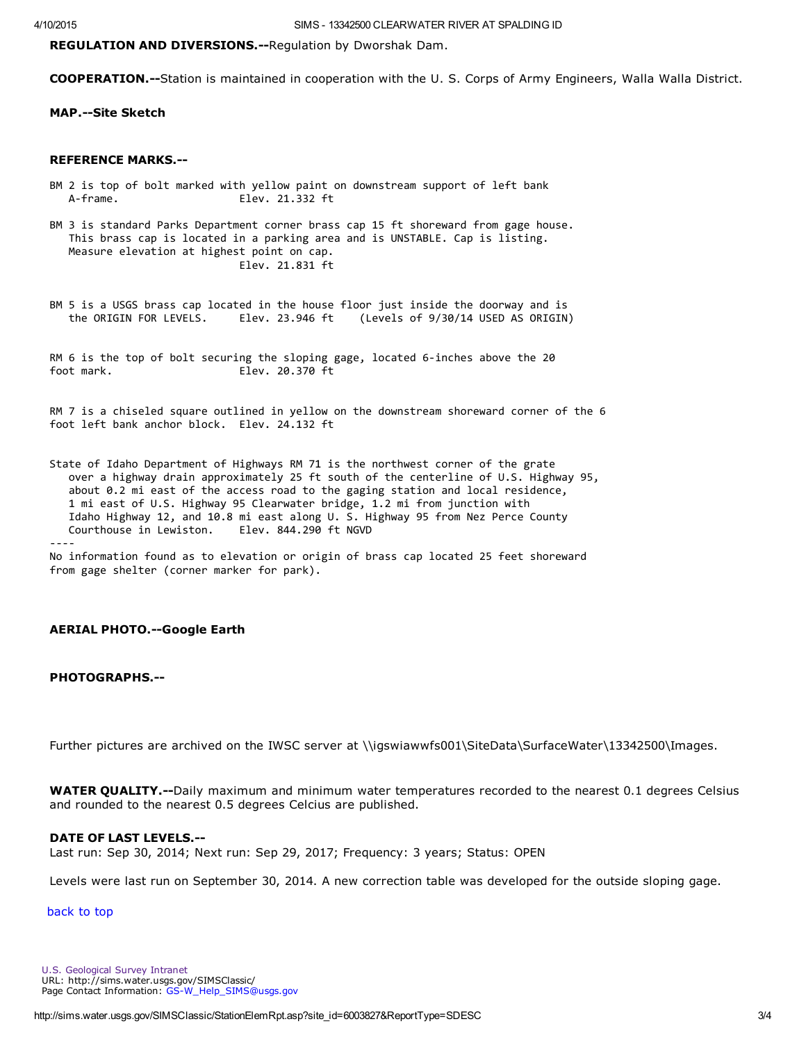REGULATION AND DIVERSIONS.--Regulation by Dworshak Dam.

**COOPERATION.**--Station is maintained in cooperation with the U. S. Corps of Army Engineers, Walla Walla District.

MAP.--Site Sketch

## REFERENCE MARKS.

- BM 2 is top of bolt marked with yellow paint on downstream support of left bank A‐frame. Elev. 21.332 ft
- BM 3 is standard Parks Department corner brass cap 15 ft shoreward from gage house. This brass cap is located in a parking area and is UNSTABLE. Cap is listing. Measure elevation at highest point on cap. Elev. 21.831 ft
- BM 5 is a USGS brass cap located in the house floor just inside the doorway and is<br>the ORIGIN FOR LEVELS. Elev. 23.946 ft (Levels of 9/30/14 USED AS ORIGIN the ORIGIN FOR LEVELS. Elev. 23.946 ft (Levels of 9/30/14 USED AS ORIGIN)

RM 6 is the top of bolt securing the sloping gage, located 6-inches above the 20 foot mark. Elev. 20.370 ft

RM 7 is a chiseled square outlined in yellow on the downstream shoreward corner of the 6 foot left bank anchor block. Elev. 24.132 ft

State of Idaho Department of Highways RM 71 is the northwest corner of the grate over a highway drain approximately 25 ft south of the centerline of U.S. Highway 95, about 0.2 mi east of the access road to the gaging station and local residence, 1 mi east of U.S. Highway 95 Clearwater bridge, 1.2 mi from junction with Idaho Highway 12, and 10.8 mi east along U. S. Highway 95 from Nez Perce County Courthouse in Lewiston. Elev. 844.290 ft NGVD Courthouse in Lewiston. ‐‐‐‐

No information found as to elevation or origin of brass cap located 25 feet shoreward from gage shelter (corner marker for park).

## **AERIAL PHOTO.--Google Earth**

## PHOTOGRAPHS.--

Further pictures are archived on the IWSC server at \\igswiawwfs001\SiteData\SurfaceWater\13342500\Images.

**WATER QUALITY.--**Daily maximum and minimum water temperatures recorded to the nearest 0.1 degrees Celsius and rounded to the nearest 0.5 degrees Celcius are published.

#### DATE OF LAST LEVELS.

Last run: Sep 30, 2014; Next run: Sep 29, 2017; Frequency: 3 years; Status: OPEN

Levels were last run on September 30, 2014. A new correction table was developed for the outside sloping gage.

back to top